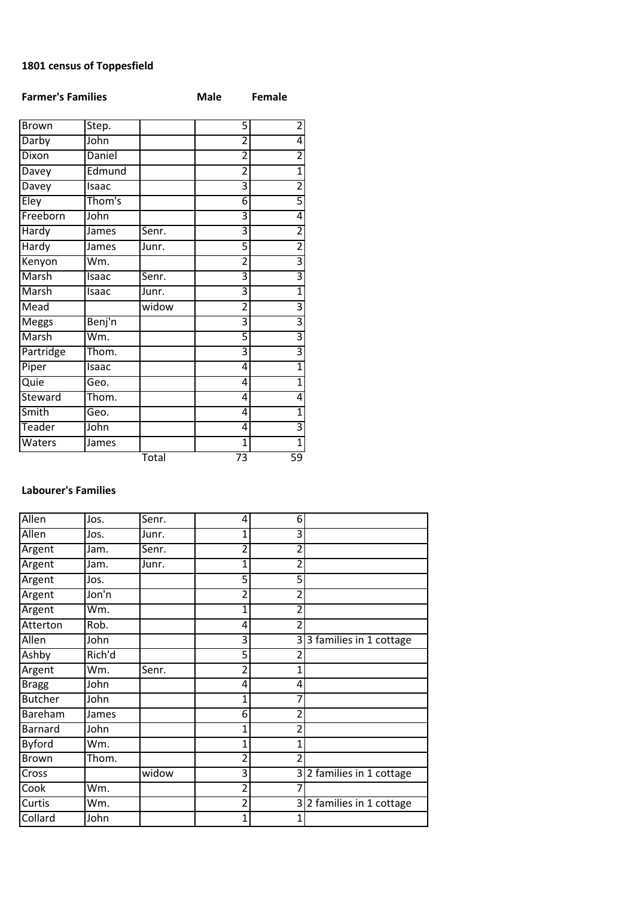## 1801 census of Toppesfield

| <b>Farmer's Families</b> |        |       | <b>Male</b>     | <b>Female</b>           |
|--------------------------|--------|-------|-----------------|-------------------------|
| <b>Brown</b>             | Step.  |       | 5               | 2                       |
| Darby                    | John   |       | $\overline{2}$  | 4                       |
| Dixon                    | Daniel |       | $\overline{2}$  | $\overline{2}$          |
| Davey                    | Edmund |       | 2               | 1                       |
| Davey                    | Isaac  |       | 3               | $\overline{2}$          |
| Eley                     | Thom's |       | 6               | 5                       |
| Freeborn                 | John   |       | 3               | 4                       |
| Hardy                    | James  | Senr. | 3               | $\overline{2}$          |
| Hardy                    | James  | Junr. | 5               | $\overline{2}$          |
| Kenyon                   | Wm.    |       | $\overline{2}$  | 3                       |
| Marsh                    | Isaac  | Senr. | 3               | $\overline{\mathbf{3}}$ |
| Marsh                    | Isaac  | Junr. | 3               | 1                       |
| Mead                     |        | widow | $\overline{2}$  | $\overline{\mathbf{3}}$ |
| <b>Meggs</b>             | Benj'n |       | 3               | 3                       |
| Marsh                    | Wm.    |       | 5               | 3                       |
| Partridge                | Thom.  |       | 3               | $\overline{\mathbf{3}}$ |
| Piper                    | Isaac  |       | 4               | 1                       |
| Quie                     | Geo.   |       | 4               | $\overline{1}$          |
| Steward                  | Thom.  |       | 4               | 4                       |
| Smith                    | Geo.   |       | 4               | 1                       |
| Teader                   | John   |       | 4               | 3                       |
| Waters                   | James  |       | $\overline{1}$  | $\overline{1}$          |
|                          |        | Total | $\overline{73}$ | 59                      |

## Labourer's Families

| Allen          | Jos.   | Senr. | 4              | 6              |                           |
|----------------|--------|-------|----------------|----------------|---------------------------|
| Allen          | Jos.   | Junr. | 1              | 3              |                           |
| Argent         | Jam.   | Senr. | 2              | 2              |                           |
| Argent         | Jam.   | Junr. | 1              | 2              |                           |
| Argent         | Jos.   |       | $\overline{5}$ | $\overline{5}$ |                           |
| Argent         | Jon'n  |       | 2              | 2              |                           |
| Argent         | Wm.    |       | 1              | 2              |                           |
| Atterton       | Rob.   |       | 4              | 2              |                           |
| Allen          | John   |       | 3              |                | 33 families in 1 cottage  |
| Ashby          | Rich'd |       | 5              | 2              |                           |
| Argent         | Wm.    | Senr. | 2              | 1              |                           |
| <b>Bragg</b>   | John   |       | 4              | 4              |                           |
| <b>Butcher</b> | John   |       | 1              | 7              |                           |
| Bareham        | James  |       | 6              | 2              |                           |
| <b>Barnard</b> | John   |       |                | 2              |                           |
| <b>Byford</b>  | Wm.    |       | 1              | 1              |                           |
| Brown          | Thom.  |       | 2              | 2              |                           |
| Cross          |        | widow | 3              |                | 3 2 families in 1 cottage |
| Cook           | Wm.    |       | 2              |                |                           |
| Curtis         | Wm.    |       | 2              |                | 3 2 families in 1 cottage |
| Collard        | John   |       | 1              |                |                           |
|                |        |       |                |                |                           |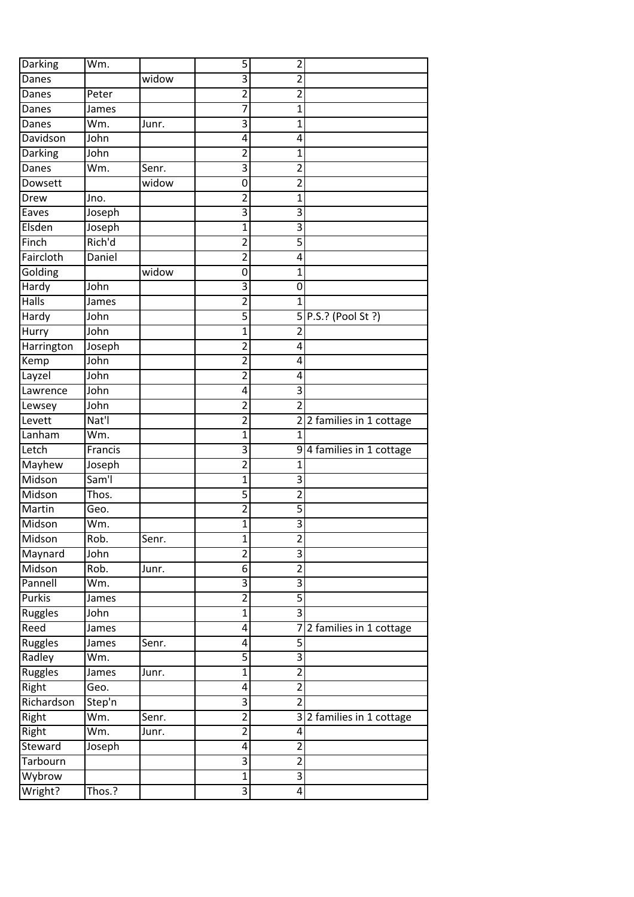| Darking           | Wm.                |       | 5                | $\overline{\mathbf{c}}$      |                           |
|-------------------|--------------------|-------|------------------|------------------------------|---------------------------|
| Danes             |                    | widow | 3                | 2                            |                           |
| Danes             | Peter              |       | $\overline{2}$   | $\overline{2}$               |                           |
| Danes             | James              |       | 7                | 1                            |                           |
| Danes             | Wm.                | Junr. | 3                | 1                            |                           |
| Davidson          | John               |       | 4                | 4                            |                           |
| Darking           | John               |       | $\overline{2}$   | 1                            |                           |
| Danes             | Wm.                | Senr. | 3                | $\overline{2}$               |                           |
| Dowsett           |                    | widow | 0                | $\overline{2}$               |                           |
| Drew              | Jno.               |       | $\overline{2}$   | 1                            |                           |
| Eaves             | Joseph             |       | 3                | 3                            |                           |
| Elsden            | Joseph             |       | $\mathbf 1$      | $\overline{3}$               |                           |
| Finch             | Rich'd             |       | $\overline{2}$   | 5                            |                           |
| Faircloth         | Daniel             |       | $\overline{2}$   | 4                            |                           |
| Golding           |                    | widow | $\overline{0}$   | 1                            |                           |
| Hardy             | John               |       | 3                | 0                            |                           |
| Halls             | James              |       | $\overline{c}$   | 1                            |                           |
| Hardy             | John               |       | 5                |                              | 5 P.S.? (Pool St ?)       |
| Hurry             | John               |       | 1                | $\overline{2}$               |                           |
| Harrington        | Joseph             |       | $\overline{2}$   | 4                            |                           |
| Kemp              | John               |       | $\overline{c}$   | 4                            |                           |
| Layzel            | John               |       | $\overline{2}$   | 4                            |                           |
| Lawrence          | John               |       | 4                | 3                            |                           |
| Lewsey            | John               |       | $\overline{c}$   | $\overline{2}$               |                           |
| Levett            | Nat'l              |       | $\overline{2}$   |                              | 2 2 families in 1 cottage |
| Lanham            | Wm.                |       | 1                | 1                            |                           |
| Letch             | Francis            |       | 3                |                              | 94 families in 1 cottage  |
| Mayhew            |                    |       |                  | 1                            |                           |
|                   |                    |       |                  |                              |                           |
|                   | Joseph             |       | $\overline{2}$   |                              |                           |
| Midson            | Sam <sup>'</sup> l |       | 1                | 3                            |                           |
| Midson            | Thos.              |       | 5                | $\overline{2}$               |                           |
| Martin            | Geo.               |       | $\overline{2}$   | 5                            |                           |
| Midson            | Wm.                |       | 1                | 3                            |                           |
| Midson            | Rob.               | Senr. | 1                | $\overline{\mathbf{c}}$      |                           |
| Maynard           | John               |       | $\overline{2}$   | 3                            |                           |
| Midson            | Rob.               | Junr. | 6                | $\overline{2}$               |                           |
| Pannell           | Wm.                |       | 3                | 3                            |                           |
| <b>Purkis</b>     | James              |       | $\overline{2}$   | $\overline{5}$               |                           |
| Ruggles           | John               |       | $\overline{1}$   | $\overline{3}$               |                           |
| Reed              | James              |       | 4                | 7                            | 2 families in 1 cottage   |
| Ruggles           | James              | Senr. | 4                | $\overline{5}$               |                           |
| Radley            | Wm.                |       | 5                | 3                            |                           |
| Ruggles           | James              | Junr. | $\mathbf{1}$     | $\overline{2}$               |                           |
| Right             | Geo.               |       | 4                | $\overline{2}$               |                           |
| Richardson        | Step'n             |       | 3                | $\overline{2}$               |                           |
| Right             | Wm.                | Senr. | $\overline{2}$   | $\overline{\mathbf{3}}$      | 2 families in 1 cottage   |
| Right             | Wm.                | Junr. | $\overline{2}$   | 4                            |                           |
| Steward           | Joseph             |       | 4                | $\overline{2}$               |                           |
| Tarbourn          |                    |       | 3                | $\overline{2}$               |                           |
| Wybrow<br>Wright? | Thos.?             |       | $\mathbf 1$<br>3 | $\overline{\mathbf{3}}$<br>4 |                           |